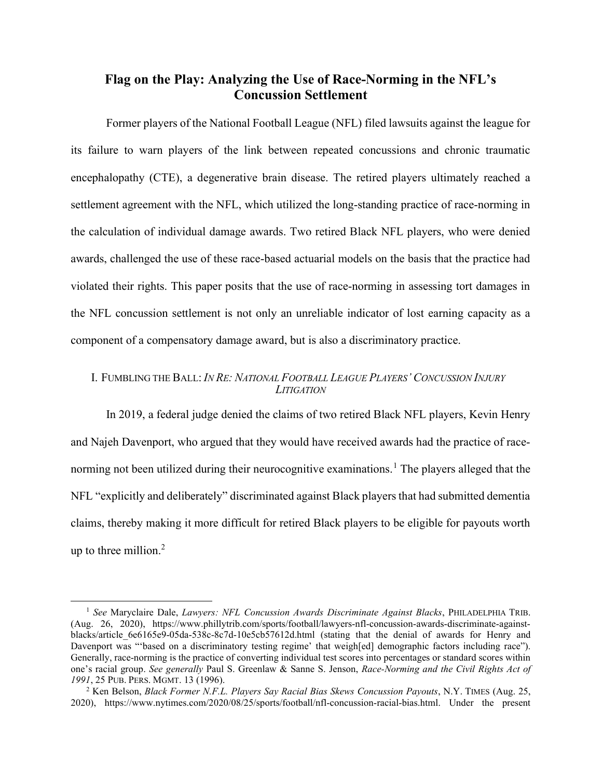# Flag on the Play: Analyzing the Use of Race-Norming in the NFL's Concussion Settlement

Former players of the National Football League (NFL) filed lawsuits against the league for its failure to warn players of the link between repeated concussions and chronic traumatic encephalopathy (CTE), a degenerative brain disease. The retired players ultimately reached a settlement agreement with the NFL, which utilized the long-standing practice of race-norming in the calculation of individual damage awards. Two retired Black NFL players, who were denied awards, challenged the use of these race-based actuarial models on the basis that the practice had violated their rights. This paper posits that the use of race-norming in assessing tort damages in the NFL concussion settlement is not only an unreliable indicator of lost earning capacity as a component of a compensatory damage award, but is also a discriminatory practice.

## I. FUMBLING THE BALL: IN RE: NATIONAL FOOTBALL LEAGUE PLAYERS' CONCUSSION INJURY **LITIGATION**

In 2019, a federal judge denied the claims of two retired Black NFL players, Kevin Henry and Najeh Davenport, who argued that they would have received awards had the practice of racenorming not been utilized during their neurocognitive examinations.<sup>1</sup> The players alleged that the NFL "explicitly and deliberately" discriminated against Black players that had submitted dementia claims, thereby making it more difficult for retired Black players to be eligible for payouts worth up to three million.<sup>2</sup>

<sup>&</sup>lt;sup>1</sup> See Maryclaire Dale, Lawyers: NFL Concussion Awards Discriminate Against Blacks, PHILADELPHIA TRIB. (Aug. 26, 2020), https://www.phillytrib.com/sports/football/lawyers-nfl-concussion-awards-discriminate-againstblacks/article 6e6165e9-05da-538c-8c7d-10e5cb57612d.html (stating that the denial of awards for Henry and Davenport was "'based on a discriminatory testing regime' that weigh[ed] demographic factors including race"). Generally, race-norming is the practice of converting individual test scores into percentages or standard scores within one's racial group. See generally Paul S. Greenlaw & Sanne S. Jenson, Race-Norming and the Civil Rights Act of 1991, 25 PUB. PERS. MGMT. 13 (1996).

<sup>&</sup>lt;sup>2</sup> Ken Belson, *Black Former N.F.L. Players Say Racial Bias Skews Concussion Payouts*, N.Y. TIMES (Aug. 25, 2020), https://www.nytimes.com/2020/08/25/sports/football/nfl-concussion-racial-bias.html. Under the present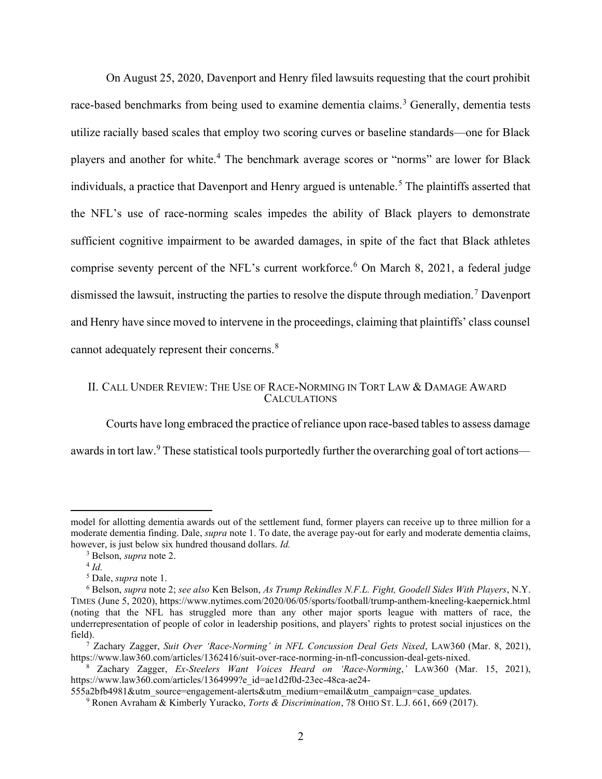On August 25, 2020, Davenport and Henry filed lawsuits requesting that the court prohibit race-based benchmarks from being used to examine dementia claims.<sup>3</sup> Generally, dementia tests utilize racially based scales that employ two scoring curves or baseline standards—one for Black players and another for white.<sup>4</sup> The benchmark average scores or "norms" are lower for Black individuals, a practice that Davenport and Henry argued is untenable.<sup>5</sup> The plaintiffs asserted that the NFL's use of race-norming scales impedes the ability of Black players to demonstrate sufficient cognitive impairment to be awarded damages, in spite of the fact that Black athletes comprise seventy percent of the NFL's current workforce.<sup>6</sup> On March 8, 2021, a federal judge dismissed the lawsuit, instructing the parties to resolve the dispute through mediation.<sup>7</sup> Davenport and Henry have since moved to intervene in the proceedings, claiming that plaintiffs' class counsel cannot adequately represent their concerns.<sup>8</sup>

### II. CALL UNDER REVIEW: THE USE OF RACE-NORMING IN TORT LAW & DAMAGE AWARD **CALCULATIONS**

Courts have long embraced the practice of reliance upon race-based tables to assess damage awards in tort law.<sup>9</sup> These statistical tools purportedly further the overarching goal of tort actions—

model for allotting dementia awards out of the settlement fund, former players can receive up to three million for a moderate dementia finding. Dale, *supra* note 1. To date, the average pay-out for early and moderate dementia claims, however, is just below six hundred thousand dollars. *Id.* 

<sup>&</sup>lt;sup>3</sup> Belson, *supra* note 2.

 $4$  Id.

<sup>&</sup>lt;sup>5</sup> Dale, *supra* note 1.

<sup>&</sup>lt;sup>6</sup> Belson, supra note 2; see also Ken Belson, As Trump Rekindles N.F.L. Fight, Goodell Sides With Players, N.Y. TIMES (June 5, 2020), https://www.nytimes.com/2020/06/05/sports/football/trump-anthem-kneeling-kaepernick.html (noting that the NFL has struggled more than any other major sports league with matters of race, the underrepresentation of people of color in leadership positions, and players' rights to protest social injustices on the field).

<sup>&</sup>lt;sup>7</sup> Zachary Zagger, Suit Over 'Race-Norming' in NFL Concussion Deal Gets Nixed, LAW360 (Mar. 8, 2021), https://www.law360.com/articles/1362416/suit-over-race-norming-in-nfl-concussion-deal-gets-nixed.

<sup>8</sup> Zachary Zagger, Ex-Steelers Want Voices Heard on 'Race-Norming,' LAW360 (Mar. 15, 2021), https://www.law360.com/articles/1364999?e\_id=ae1d2f0d-23ec-48ca-ae24-

<sup>555</sup>a2bfb4981&utm\_source=engagement-alerts&utm\_medium=email&utm\_campaign=case\_updates.

<sup>&</sup>lt;sup>9</sup> Ronen Avraham & Kimberly Yuracko, *Torts & Discrimination*, 78 OHIO ST. L.J. 661, 669 (2017).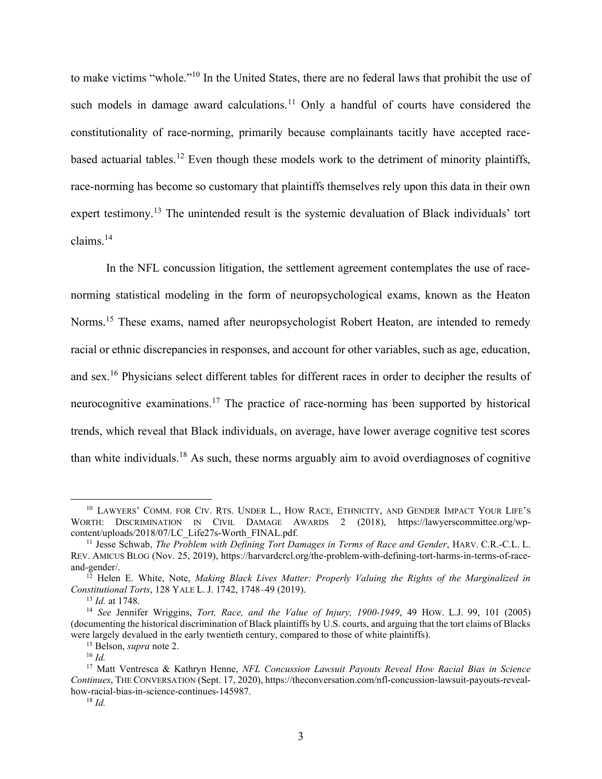to make victims "whole."<sup>10</sup> In the United States, there are no federal laws that prohibit the use of such models in damage award calculations.<sup>11</sup> Only a handful of courts have considered the constitutionality of race-norming, primarily because complainants tacitly have accepted racebased actuarial tables.<sup>12</sup> Even though these models work to the detriment of minority plaintiffs, race-norming has become so customary that plaintiffs themselves rely upon this data in their own expert testimony.<sup>13</sup> The unintended result is the systemic devaluation of Black individuals' tort claims.<sup>14</sup>

In the NFL concussion litigation, the settlement agreement contemplates the use of racenorming statistical modeling in the form of neuropsychological exams, known as the Heaton Norms.<sup>15</sup> These exams, named after neuropsychologist Robert Heaton, are intended to remedy racial or ethnic discrepancies in responses, and account for other variables, such as age, education, and sex.<sup>16</sup> Physicians select different tables for different races in order to decipher the results of neurocognitive examinations.<sup>17</sup> The practice of race-norming has been supported by historical trends, which reveal that Black individuals, on average, have lower average cognitive test scores than white individuals.<sup>18</sup> As such, these norms arguably aim to avoid overdiagnoses of cognitive

<sup>&</sup>lt;sup>10</sup> LAWYERS' COMM. FOR CIV. RTS. UNDER L., HOW RACE, ETHNICITY, AND GENDER IMPACT YOUR LIFE'S WORTH: DISCRIMINATION IN CIVIL DAMAGE AWARDS 2 (2018), https://lawyerscommittee.org/wpcontent/uploads/2018/07/LC\_Life27s-Worth\_FINAL.pdf.

<sup>&</sup>lt;sup>11</sup> Jesse Schwab, *The Problem with Defining Tort Damages in Terms of Race and Gender*, HARV. C.R.-C.L. L. REV. AMICUS BLOG (Nov. 25, 2019), https://harvardcrcl.org/the-problem-with-defining-tort-harms-in-terms-of-raceand-gender/.

 $12$  Helen E. White, Note, Making Black Lives Matter: Properly Valuing the Rights of the Marginalized in Constitutional Torts, 128 YALE L. J. 1742, 1748–49 (2019).

<sup>&</sup>lt;sup>13</sup> *Id.* at 1748.

<sup>&</sup>lt;sup>14</sup> See Jennifer Wriggins, *Tort, Race, and the Value of Injury, 1900-1949*, 49 How. L.J. 99, 101 (2005) (documenting the historical discrimination of Black plaintiffs by U.S. courts, and arguing that the tort claims of Blacks were largely devalued in the early twentieth century, compared to those of white plaintiffs).

<sup>&</sup>lt;sup>15</sup> Belson, *supra* note 2.

 $^{16}$  *Id*.

<sup>&</sup>lt;sup>17</sup> Matt Ventresca & Kathryn Henne, NFL Concussion Lawsuit Payouts Reveal How Racial Bias in Science Continues, THE CONVERSATION (Sept. 17, 2020), https://theconversation.com/nfl-concussion-lawsuit-payouts-revealhow-racial-bias-in-science-continues-145987.

 $18$  *Id.*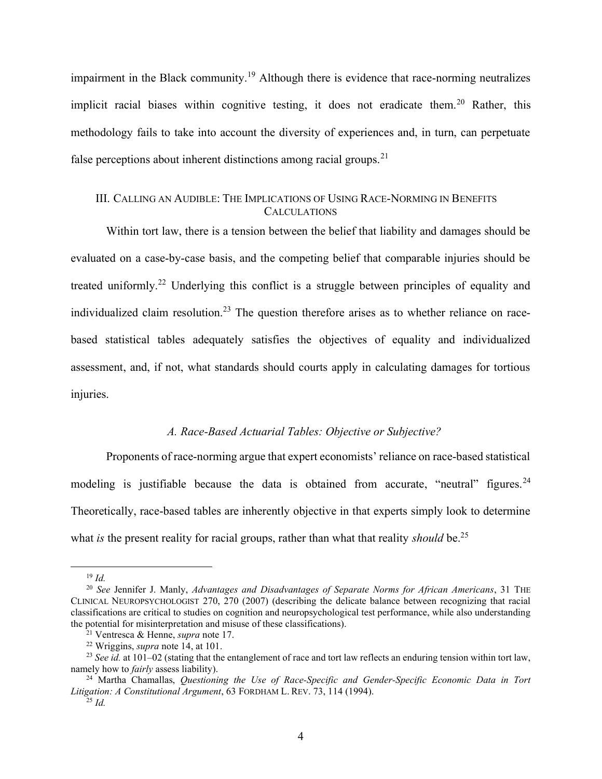impairment in the Black community.<sup>19</sup> Although there is evidence that race-norming neutralizes implicit racial biases within cognitive testing, it does not eradicate them.<sup>20</sup> Rather, this methodology fails to take into account the diversity of experiences and, in turn, can perpetuate false perceptions about inherent distinctions among racial groups.<sup>21</sup>

# III. CALLING AN AUDIBLE: THE IMPLICATIONS OF USING RACE-NORMING IN BENEFITS **CALCULATIONS**

Within tort law, there is a tension between the belief that liability and damages should be evaluated on a case-by-case basis, and the competing belief that comparable injuries should be treated uniformly.<sup>22</sup> Underlying this conflict is a struggle between principles of equality and individualized claim resolution.<sup>23</sup> The question therefore arises as to whether reliance on racebased statistical tables adequately satisfies the objectives of equality and individualized assessment, and, if not, what standards should courts apply in calculating damages for tortious injuries.

#### A. Race-Based Actuarial Tables: Objective or Subjective?

Proponents of race-norming argue that expert economists' reliance on race-based statistical modeling is justifiable because the data is obtained from accurate, "neutral" figures.<sup>24</sup> Theoretically, race-based tables are inherently objective in that experts simply look to determine what is the present reality for racial groups, rather than what that reality should be.<sup>25</sup>

 $19$  Id.

<sup>&</sup>lt;sup>20</sup> See Jennifer J. Manly, Advantages and Disadvantages of Separate Norms for African Americans, 31 THE CLINICAL NEUROPSYCHOLOGIST 270, 270 (2007) (describing the delicate balance between recognizing that racial classifications are critical to studies on cognition and neuropsychological test performance, while also understanding the potential for misinterpretation and misuse of these classifications).

<sup>&</sup>lt;sup>21</sup> Ventresca & Henne, *supra* note 17.

 $22$  Wriggins, *supra* note 14, at 101.

<sup>&</sup>lt;sup>23</sup> See id. at 101–02 (stating that the entanglement of race and tort law reflects an enduring tension within tort law, namely how to *fairly* assess liability).

 $24$  Martha Chamallas, *Questioning the Use of Race-Specific and Gender-Specific Economic Data in Tort* Litigation: A Constitutional Argument, 63 FORDHAM L. REV. 73, 114 (1994).

 $^{25}$  Id.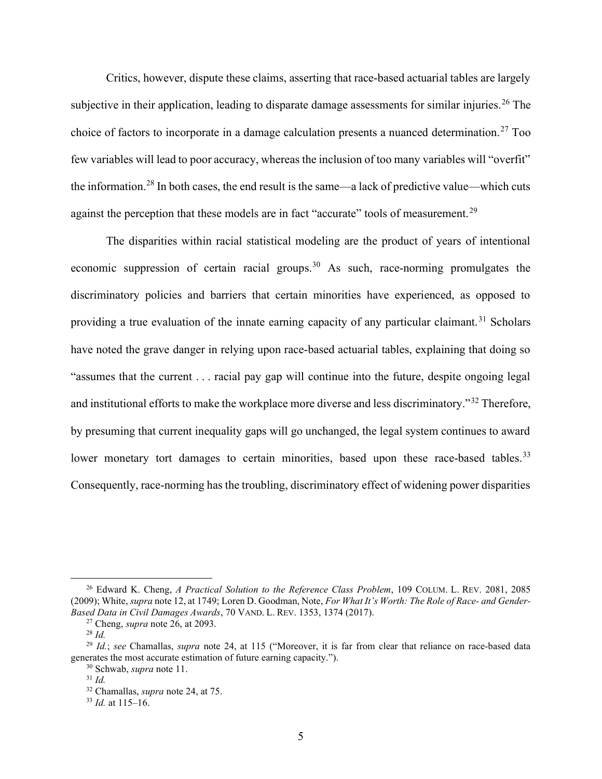Critics, however, dispute these claims, asserting that race-based actuarial tables are largely subjective in their application, leading to disparate damage assessments for similar injuries.<sup>26</sup> The choice of factors to incorporate in a damage calculation presents a nuanced determination.<sup>27</sup> Too few variables will lead to poor accuracy, whereas the inclusion of too many variables will "overfit" the information.<sup>28</sup> In both cases, the end result is the same—a lack of predictive value—which cuts against the perception that these models are in fact "accurate" tools of measurement.<sup>29</sup>

The disparities within racial statistical modeling are the product of years of intentional economic suppression of certain racial groups.<sup>30</sup> As such, race-norming promulgates the discriminatory policies and barriers that certain minorities have experienced, as opposed to providing a true evaluation of the innate earning capacity of any particular claimant.<sup>31</sup> Scholars have noted the grave danger in relying upon race-based actuarial tables, explaining that doing so "assumes that the current . . . racial pay gap will continue into the future, despite ongoing legal and institutional efforts to make the workplace more diverse and less discriminatory."<sup>32</sup> Therefore, by presuming that current inequality gaps will go unchanged, the legal system continues to award lower monetary tort damages to certain minorities, based upon these race-based tables.<sup>33</sup> Consequently, race-norming has the troubling, discriminatory effect of widening power disparities

<sup>&</sup>lt;sup>26</sup> Edward K. Cheng, A Practical Solution to the Reference Class Problem, 109 COLUM. L. REV. 2081, 2085 (2009); White, supra note 12, at 1749; Loren D. Goodman, Note, For What It's Worth: The Role of Race- and Gender-Based Data in Civil Damages Awards, 70 VAND. L. REV. 1353, 1374 (2017).

<sup>&</sup>lt;sup>27</sup> Cheng, *supra* note  $26$ , at 2093.

 $^{28}$  *Id.* 

<sup>&</sup>lt;sup>29</sup> Id.; see Chamallas, supra note 24, at 115 ("Moreover, it is far from clear that reliance on race-based data generates the most accurate estimation of future earning capacity.").

<sup>&</sup>lt;sup>30</sup> Schwab, *supra* note 11.

 $31$  Id.

<sup>&</sup>lt;sup>32</sup> Chamallas, *supra* note 24, at 75.

 $33$  *Id.* at 115–16.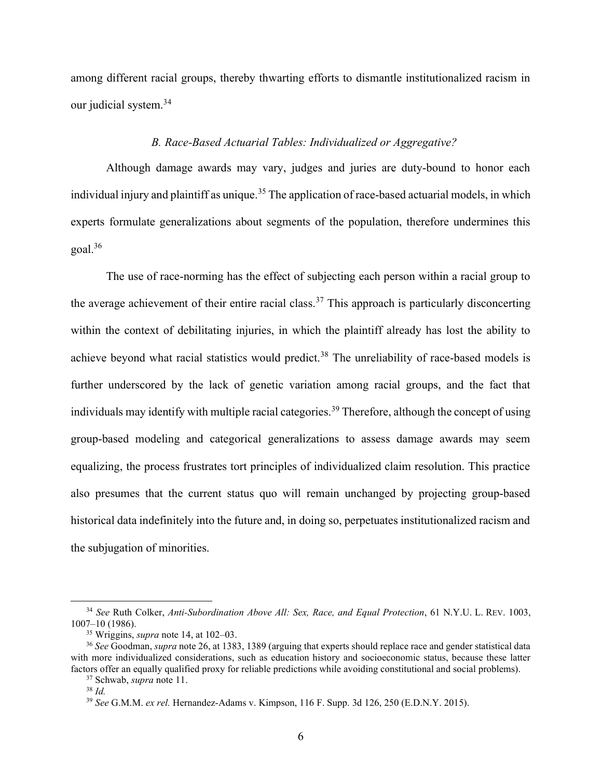among different racial groups, thereby thwarting efforts to dismantle institutionalized racism in our judicial system.<sup>34</sup>

## B. Race-Based Actuarial Tables: Individualized or Aggregative?

Although damage awards may vary, judges and juries are duty-bound to honor each individual injury and plaintiff as unique.<sup>35</sup> The application of race-based actuarial models, in which experts formulate generalizations about segments of the population, therefore undermines this  $goal.<sup>36</sup>$ 

The use of race-norming has the effect of subjecting each person within a racial group to the average achievement of their entire racial class.<sup>37</sup> This approach is particularly disconcerting within the context of debilitating injuries, in which the plaintiff already has lost the ability to achieve beyond what racial statistics would predict.<sup>38</sup> The unreliability of race-based models is further underscored by the lack of genetic variation among racial groups, and the fact that individuals may identify with multiple racial categories.<sup>39</sup> Therefore, although the concept of using group-based modeling and categorical generalizations to assess damage awards may seem equalizing, the process frustrates tort principles of individualized claim resolution. This practice also presumes that the current status quo will remain unchanged by projecting group-based historical data indefinitely into the future and, in doing so, perpetuates institutionalized racism and the subjugation of minorities.

<sup>&</sup>lt;sup>34</sup> See Ruth Colker, Anti-Subordination Above All: Sex, Race, and Equal Protection, 61 N.Y.U. L. REV. 1003, 1007–10 (1986).

 $35$  Wriggins, *supra* note 14, at 102–03.

<sup>&</sup>lt;sup>36</sup> See Goodman, supra note 26, at 1383, 1389 (arguing that experts should replace race and gender statistical data with more individualized considerations, such as education history and socioeconomic status, because these latter factors offer an equally qualified proxy for reliable predictions while avoiding constitutional and social problems).

<sup>37</sup> Schwab, supra note 11.

 $38$  Id.

<sup>&</sup>lt;sup>39</sup> See G.M.M. ex rel. Hernandez-Adams v. Kimpson, 116 F. Supp. 3d 126, 250 (E.D.N.Y. 2015).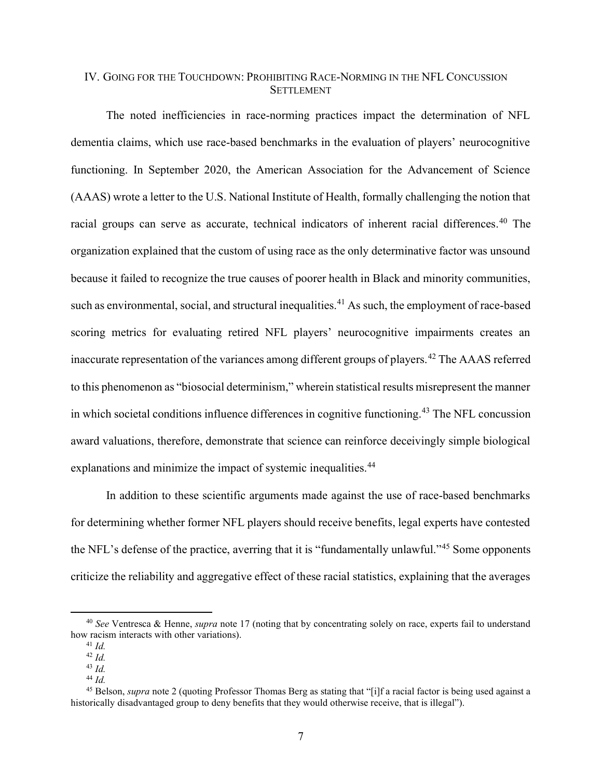# IV. GOING FOR THE TOUCHDOWN: PROHIBITING RACE-NORMING IN THE NFL CONCUSSION **SETTLEMENT**

The noted inefficiencies in race-norming practices impact the determination of NFL dementia claims, which use race-based benchmarks in the evaluation of players' neurocognitive functioning. In September 2020, the American Association for the Advancement of Science (AAAS) wrote a letter to the U.S. National Institute of Health, formally challenging the notion that racial groups can serve as accurate, technical indicators of inherent racial differences.<sup>40</sup> The organization explained that the custom of using race as the only determinative factor was unsound because it failed to recognize the true causes of poorer health in Black and minority communities, such as environmental, social, and structural inequalities.<sup>41</sup> As such, the employment of race-based scoring metrics for evaluating retired NFL players' neurocognitive impairments creates an inaccurate representation of the variances among different groups of players.<sup>42</sup> The AAAS referred to this phenomenon as "biosocial determinism," wherein statistical results misrepresent the manner in which societal conditions influence differences in cognitive functioning.<sup>43</sup> The NFL concussion award valuations, therefore, demonstrate that science can reinforce deceivingly simple biological explanations and minimize the impact of systemic inequalities.<sup>44</sup>

In addition to these scientific arguments made against the use of race-based benchmarks for determining whether former NFL players should receive benefits, legal experts have contested the NFL's defense of the practice, averring that it is "fundamentally unlawful."<sup>45</sup> Some opponents criticize the reliability and aggregative effect of these racial statistics, explaining that the averages

<sup>&</sup>lt;sup>40</sup> See Ventresca & Henne, *supra* note 17 (noting that by concentrating solely on race, experts fail to understand how racism interacts with other variations).

 $41$  *Id.* 

 $42$  *Id.* 

 $43$  Id.

 $44$  Id.

 $45$  Belson, supra note 2 (quoting Professor Thomas Berg as stating that "[i]f a racial factor is being used against a historically disadvantaged group to deny benefits that they would otherwise receive, that is illegal").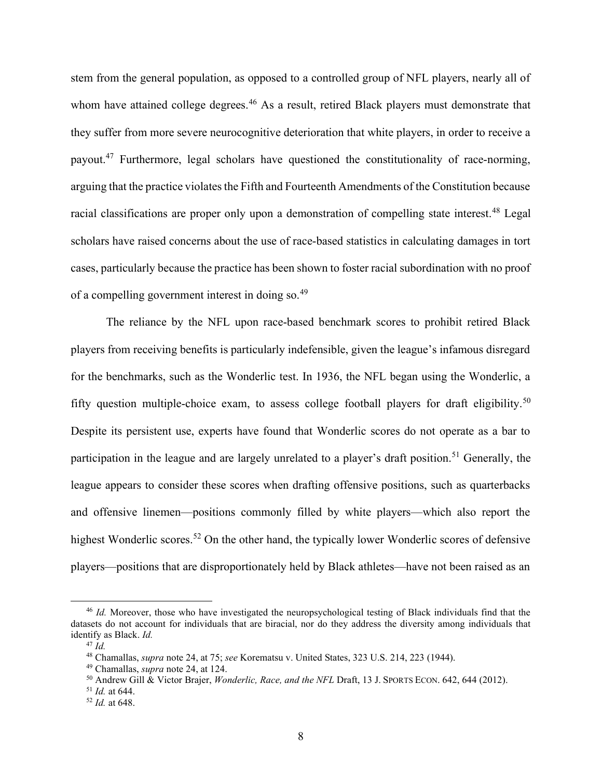stem from the general population, as opposed to a controlled group of NFL players, nearly all of whom have attained college degrees.<sup>46</sup> As a result, retired Black players must demonstrate that they suffer from more severe neurocognitive deterioration that white players, in order to receive a payout.<sup>47</sup> Furthermore, legal scholars have questioned the constitutionality of race-norming, arguing that the practice violates the Fifth and Fourteenth Amendments of the Constitution because racial classifications are proper only upon a demonstration of compelling state interest.<sup>48</sup> Legal scholars have raised concerns about the use of race-based statistics in calculating damages in tort cases, particularly because the practice has been shown to foster racial subordination with no proof of a compelling government interest in doing so.<sup>49</sup>

The reliance by the NFL upon race-based benchmark scores to prohibit retired Black players from receiving benefits is particularly indefensible, given the league's infamous disregard for the benchmarks, such as the Wonderlic test. In 1936, the NFL began using the Wonderlic, a fifty question multiple-choice exam, to assess college football players for draft eligibility.<sup>50</sup> Despite its persistent use, experts have found that Wonderlic scores do not operate as a bar to participation in the league and are largely unrelated to a player's draft position.<sup>51</sup> Generally, the league appears to consider these scores when drafting offensive positions, such as quarterbacks and offensive linemen—positions commonly filled by white players—which also report the highest Wonderlic scores.<sup>52</sup> On the other hand, the typically lower Wonderlic scores of defensive players—positions that are disproportionately held by Black athletes—have not been raised as an

<sup>&</sup>lt;sup>46</sup> Id. Moreover, those who have investigated the neuropsychological testing of Black individuals find that the datasets do not account for individuals that are biracial, nor do they address the diversity among individuals that identify as Black. Id.

 $47$   $\dot{Id}$ .

<sup>&</sup>lt;sup>48</sup> Chamallas, *supra* note 24, at 75; see Korematsu v. United States, 323 U.S. 214, 223 (1944).

<sup>49</sup> Chamallas, supra note 24, at 124.

<sup>50</sup> Andrew Gill & Victor Brajer, Wonderlic, Race, and the NFL Draft, 13 J. SPORTS ECON. 642, 644 (2012).

 $51$  *Id.* at 644.

 $52$  *Id.* at 648.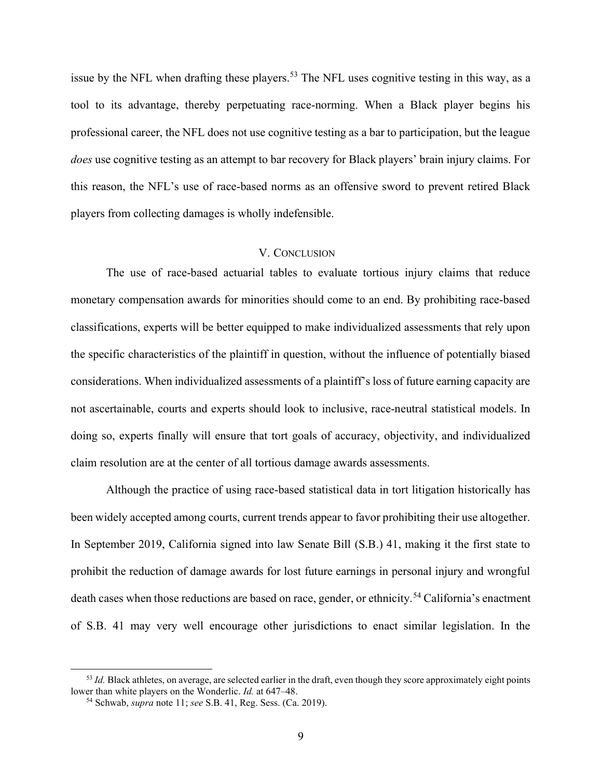issue by the NFL when drafting these players.<sup>53</sup> The NFL uses cognitive testing in this way, as a tool to its advantage, thereby perpetuating race-norming. When a Black player begins his professional career, the NFL does not use cognitive testing as a bar to participation, but the league does use cognitive testing as an attempt to bar recovery for Black players' brain injury claims. For this reason, the NFL's use of race-based norms as an offensive sword to prevent retired Black players from collecting damages is wholly indefensible.

#### V. CONCLUSION

The use of race-based actuarial tables to evaluate tortious injury claims that reduce monetary compensation awards for minorities should come to an end. By prohibiting race-based classifications, experts will be better equipped to make individualized assessments that rely upon the specific characteristics of the plaintiff in question, without the influence of potentially biased considerations. When individualized assessments of a plaintiff's loss of future earning capacity are not ascertainable, courts and experts should look to inclusive, race-neutral statistical models. In doing so, experts finally will ensure that tort goals of accuracy, objectivity, and individualized claim resolution are at the center of all tortious damage awards assessments.

Although the practice of using race-based statistical data in tort litigation historically has been widely accepted among courts, current trends appear to favor prohibiting their use altogether. In September 2019, California signed into law Senate Bill (S.B.) 41, making it the first state to prohibit the reduction of damage awards for lost future earnings in personal injury and wrongful death cases when those reductions are based on race, gender, or ethnicity.<sup>54</sup> California's enactment of S.B. 41 may very well encourage other jurisdictions to enact similar legislation. In the

 $53$  Id. Black athletes, on average, are selected earlier in the draft, even though they score approximately eight points lower than white players on the Wonderlic. Id. at 647–48.

<sup>&</sup>lt;sup>54</sup> Schwab, *supra* note 11; see S.B. 41, Reg. Sess. (Ca. 2019).